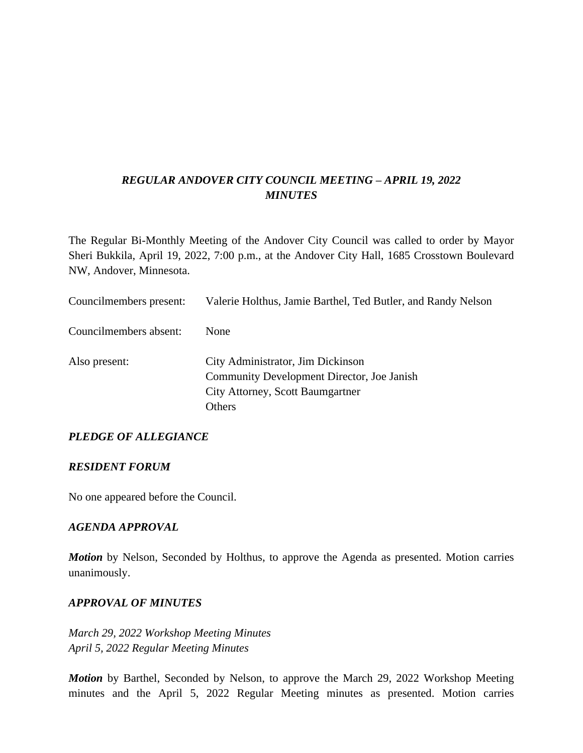### *REGULAR ANDOVER CITY COUNCIL MEETING – APRIL 19, 2022 MINUTES*

The Regular Bi-Monthly Meeting of the Andover City Council was called to order by Mayor Sheri Bukkila, April 19, 2022, 7:00 p.m., at the Andover City Hall, 1685 Crosstown Boulevard NW, Andover, Minnesota.

| Councilmembers present: | Valerie Holthus, Jamie Barthel, Ted Butler, and Randy Nelson                                                                         |
|-------------------------|--------------------------------------------------------------------------------------------------------------------------------------|
| Councilmembers absent:  | <b>None</b>                                                                                                                          |
| Also present:           | City Administrator, Jim Dickinson<br>Community Development Director, Joe Janish<br>City Attorney, Scott Baumgartner<br><b>Others</b> |

### *PLEDGE OF ALLEGIANCE*

#### *RESIDENT FORUM*

No one appeared before the Council.

#### *AGENDA APPROVAL*

*Motion* by Nelson, Seconded by Holthus, to approve the Agenda as presented. Motion carries unanimously.

#### *APPROVAL OF MINUTES*

*March 29, 2022 Workshop Meeting Minutes April 5, 2022 Regular Meeting Minutes*

*Motion* by Barthel, Seconded by Nelson, to approve the March 29, 2022 Workshop Meeting minutes and the April 5, 2022 Regular Meeting minutes as presented. Motion carries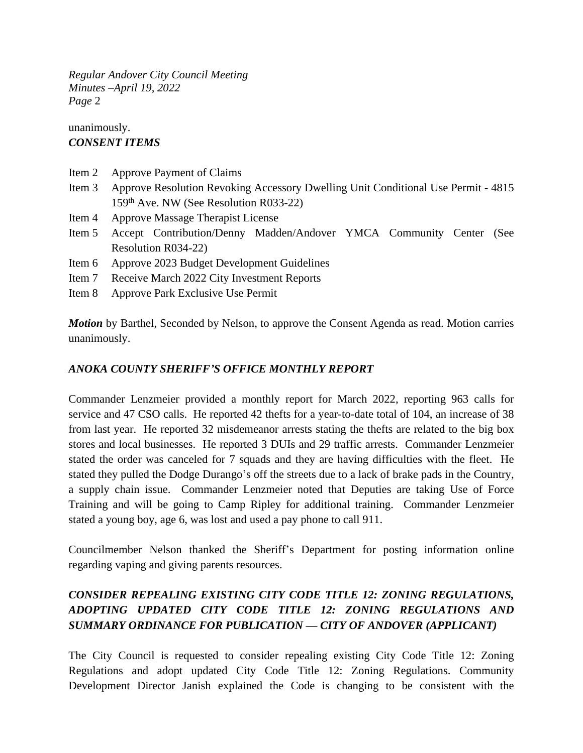### unanimously. *CONSENT ITEMS*

- Item 2 Approve Payment of Claims
- Item 3 Approve Resolution Revoking Accessory Dwelling Unit Conditional Use Permit 4815 159th Ave. NW (See Resolution R033-22)
- Item 4 Approve Massage Therapist License
- Item 5 Accept Contribution/Denny Madden/Andover YMCA Community Center (See Resolution R034-22)
- Item 6 Approve 2023 Budget Development Guidelines
- Item 7 Receive March 2022 City Investment Reports
- Item 8 Approve Park Exclusive Use Permit

*Motion* by Barthel, Seconded by Nelson, to approve the Consent Agenda as read. Motion carries unanimously.

### *ANOKA COUNTY SHERIFF'S OFFICE MONTHLY REPORT*

Commander Lenzmeier provided a monthly report for March 2022, reporting 963 calls for service and 47 CSO calls. He reported 42 thefts for a year-to-date total of 104, an increase of 38 from last year. He reported 32 misdemeanor arrests stating the thefts are related to the big box stores and local businesses. He reported 3 DUIs and 29 traffic arrests. Commander Lenzmeier stated the order was canceled for 7 squads and they are having difficulties with the fleet. He stated they pulled the Dodge Durango's off the streets due to a lack of brake pads in the Country, a supply chain issue. Commander Lenzmeier noted that Deputies are taking Use of Force Training and will be going to Camp Ripley for additional training. Commander Lenzmeier stated a young boy, age 6, was lost and used a pay phone to call 911.

Councilmember Nelson thanked the Sheriff's Department for posting information online regarding vaping and giving parents resources.

# *CONSIDER REPEALING EXISTING CITY CODE TITLE 12: ZONING REGULATIONS, ADOPTING UPDATED CITY CODE TITLE 12: ZONING REGULATIONS AND SUMMARY ORDINANCE FOR PUBLICATION — CITY OF ANDOVER (APPLICANT)*

The City Council is requested to consider repealing existing City Code Title 12: Zoning Regulations and adopt updated City Code Title 12: Zoning Regulations. Community Development Director Janish explained the Code is changing to be consistent with the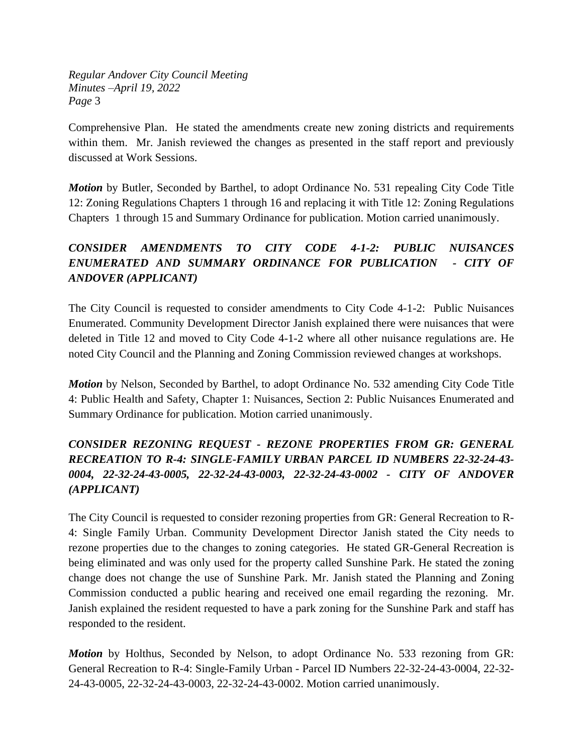Comprehensive Plan. He stated the amendments create new zoning districts and requirements within them. Mr. Janish reviewed the changes as presented in the staff report and previously discussed at Work Sessions.

*Motion* by Butler, Seconded by Barthel, to adopt Ordinance No. 531 repealing City Code Title 12: Zoning Regulations Chapters 1 through 16 and replacing it with Title 12: Zoning Regulations Chapters 1 through 15 and Summary Ordinance for publication. Motion carried unanimously.

# *CONSIDER AMENDMENTS TO CITY CODE 4-1-2: PUBLIC NUISANCES ENUMERATED AND SUMMARY ORDINANCE FOR PUBLICATION - CITY OF ANDOVER (APPLICANT)*

The City Council is requested to consider amendments to City Code 4-1-2: Public Nuisances Enumerated. Community Development Director Janish explained there were nuisances that were deleted in Title 12 and moved to City Code 4-1-2 where all other nuisance regulations are. He noted City Council and the Planning and Zoning Commission reviewed changes at workshops.

*Motion* by Nelson, Seconded by Barthel, to adopt Ordinance No. 532 amending City Code Title 4: Public Health and Safety, Chapter 1: Nuisances, Section 2: Public Nuisances Enumerated and Summary Ordinance for publication. Motion carried unanimously.

# *CONSIDER REZONING REQUEST - REZONE PROPERTIES FROM GR: GENERAL RECREATION TO R-4: SINGLE-FAMILY URBAN PARCEL ID NUMBERS 22-32-24-43- 0004, 22-32-24-43-0005, 22-32-24-43-0003, 22-32-24-43-0002 - CITY OF ANDOVER (APPLICANT)*

The City Council is requested to consider rezoning properties from GR: General Recreation to R-4: Single Family Urban. Community Development Director Janish stated the City needs to rezone properties due to the changes to zoning categories. He stated GR-General Recreation is being eliminated and was only used for the property called Sunshine Park. He stated the zoning change does not change the use of Sunshine Park. Mr. Janish stated the Planning and Zoning Commission conducted a public hearing and received one email regarding the rezoning. Mr. Janish explained the resident requested to have a park zoning for the Sunshine Park and staff has responded to the resident.

*Motion* by Holthus, Seconded by Nelson, to adopt Ordinance No. 533 rezoning from GR: General Recreation to R-4: Single-Family Urban - Parcel ID Numbers 22-32-24-43-0004, 22-32- 24-43-0005, 22-32-24-43-0003, 22-32-24-43-0002. Motion carried unanimously.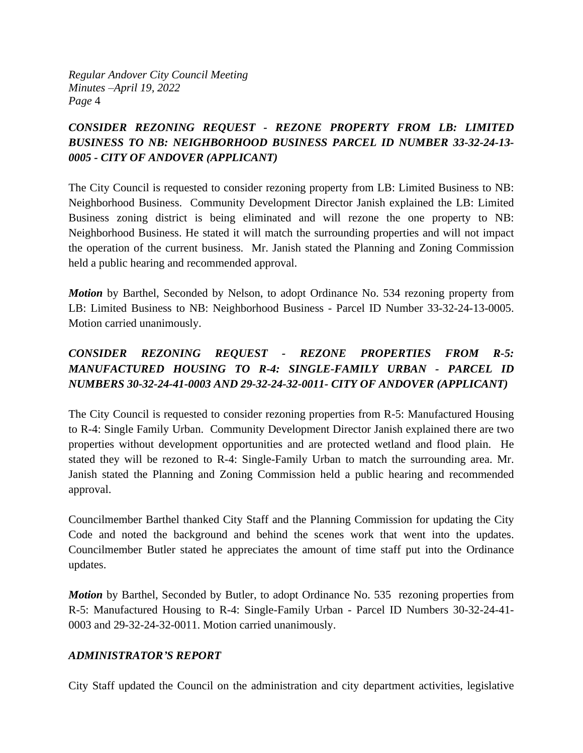## *CONSIDER REZONING REQUEST - REZONE PROPERTY FROM LB: LIMITED BUSINESS TO NB: NEIGHBORHOOD BUSINESS PARCEL ID NUMBER 33-32-24-13- 0005 - CITY OF ANDOVER (APPLICANT)*

The City Council is requested to consider rezoning property from LB: Limited Business to NB: Neighborhood Business. Community Development Director Janish explained the LB: Limited Business zoning district is being eliminated and will rezone the one property to NB: Neighborhood Business. He stated it will match the surrounding properties and will not impact the operation of the current business. Mr. Janish stated the Planning and Zoning Commission held a public hearing and recommended approval.

*Motion* by Barthel, Seconded by Nelson, to adopt Ordinance No. 534 rezoning property from LB: Limited Business to NB: Neighborhood Business - Parcel ID Number 33-32-24-13-0005. Motion carried unanimously.

## *CONSIDER REZONING REQUEST - REZONE PROPERTIES FROM R-5: MANUFACTURED HOUSING TO R-4: SINGLE-FAMILY URBAN - PARCEL ID NUMBERS 30-32-24-41-0003 AND 29-32-24-32-0011- CITY OF ANDOVER (APPLICANT)*

The City Council is requested to consider rezoning properties from R-5: Manufactured Housing to R-4: Single Family Urban. Community Development Director Janish explained there are two properties without development opportunities and are protected wetland and flood plain. He stated they will be rezoned to R-4: Single-Family Urban to match the surrounding area. Mr. Janish stated the Planning and Zoning Commission held a public hearing and recommended approval.

Councilmember Barthel thanked City Staff and the Planning Commission for updating the City Code and noted the background and behind the scenes work that went into the updates. Councilmember Butler stated he appreciates the amount of time staff put into the Ordinance updates.

*Motion* by Barthel, Seconded by Butler, to adopt Ordinance No. 535 rezoning properties from R-5: Manufactured Housing to R-4: Single-Family Urban - Parcel ID Numbers 30-32-24-41- 0003 and 29-32-24-32-0011. Motion carried unanimously.

### *ADMINISTRATOR'S REPORT*

City Staff updated the Council on the administration and city department activities, legislative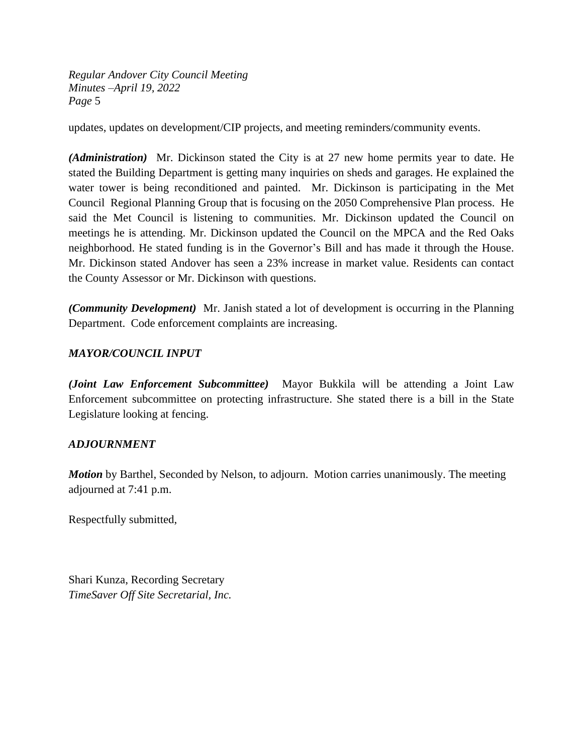updates, updates on development/CIP projects, and meeting reminders/community events.

*(Administration)* Mr. Dickinson stated the City is at 27 new home permits year to date. He stated the Building Department is getting many inquiries on sheds and garages. He explained the water tower is being reconditioned and painted. Mr. Dickinson is participating in the Met Council Regional Planning Group that is focusing on the 2050 Comprehensive Plan process. He said the Met Council is listening to communities. Mr. Dickinson updated the Council on meetings he is attending. Mr. Dickinson updated the Council on the MPCA and the Red Oaks neighborhood. He stated funding is in the Governor's Bill and has made it through the House. Mr. Dickinson stated Andover has seen a 23% increase in market value. Residents can contact the County Assessor or Mr. Dickinson with questions.

*(Community Development)* Mr. Janish stated a lot of development is occurring in the Planning Department. Code enforcement complaints are increasing.

### *MAYOR/COUNCIL INPUT*

*(Joint Law Enforcement Subcommittee)* Mayor Bukkila will be attending a Joint Law Enforcement subcommittee on protecting infrastructure. She stated there is a bill in the State Legislature looking at fencing.

#### *ADJOURNMENT*

*Motion* by Barthel, Seconded by Nelson, to adjourn. Motion carries unanimously. The meeting adjourned at 7:41 p.m.

Respectfully submitted,

Shari Kunza, Recording Secretary *TimeSaver Off Site Secretarial, Inc.*